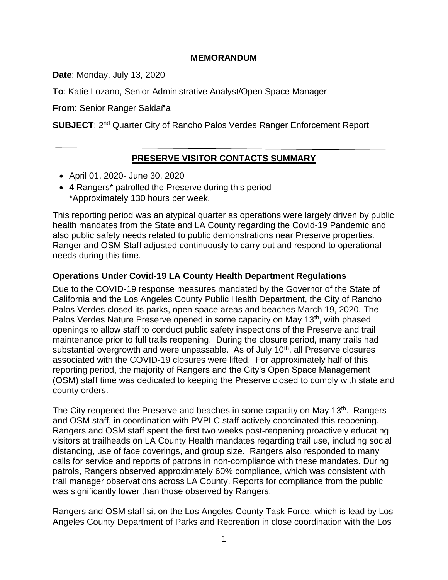### **MEMORANDUM**

**Date**: Monday, July 13, 2020

**To**: Katie Lozano, Senior Administrative Analyst/Open Space Manager

**From**: Senior Ranger Saldaña

**SUBJECT**: 2<sup>nd</sup> Quarter City of Rancho Palos Verdes Ranger Enforcement Report

## **PRESERVE VISITOR CONTACTS SUMMARY**

- April 01, 2020- June 30, 2020
- 4 Rangers\* patrolled the Preserve during this period \*Approximately 130 hours per week.

This reporting period was an atypical quarter as operations were largely driven by public health mandates from the State and LA County regarding the Covid-19 Pandemic and also public safety needs related to public demonstrations near Preserve properties. Ranger and OSM Staff adjusted continuously to carry out and respond to operational needs during this time.

### **Operations Under Covid-19 LA County Health Department Regulations**

Due to the COVID-19 response measures mandated by the Governor of the State of California and the Los Angeles County Public Health Department, the City of Rancho Palos Verdes closed its parks, open space areas and beaches March 19, 2020. The Palos Verdes Nature Preserve opened in some capacity on May 13<sup>th</sup>, with phased openings to allow staff to conduct public safety inspections of the Preserve and trail maintenance prior to full trails reopening. During the closure period, many trails had substantial overgrowth and were unpassable. As of July  $10<sup>th</sup>$ , all Preserve closures associated with the COVID-19 closures were lifted. For approximately half of this reporting period, the majority of Rangers and the City's Open Space Management (OSM) staff time was dedicated to keeping the Preserve closed to comply with state and county orders.

The City reopened the Preserve and beaches in some capacity on May 13<sup>th</sup>. Rangers and OSM staff, in coordination with PVPLC staff actively coordinated this reopening. Rangers and OSM staff spent the first two weeks post-reopening proactively educating visitors at trailheads on LA County Health mandates regarding trail use, including social distancing, use of face coverings, and group size. Rangers also responded to many calls for service and reports of patrons in non-compliance with these mandates. During patrols, Rangers observed approximately 60% compliance, which was consistent with trail manager observations across LA County. Reports for compliance from the public was significantly lower than those observed by Rangers.

Rangers and OSM staff sit on the Los Angeles County Task Force, which is lead by Los Angeles County Department of Parks and Recreation in close coordination with the Los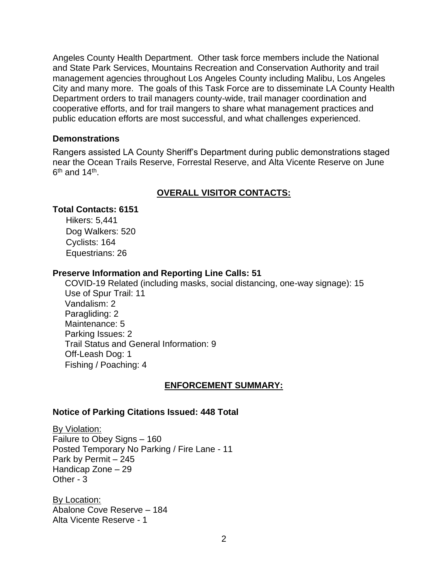Angeles County Health Department. Other task force members include the National and State Park Services, Mountains Recreation and Conservation Authority and trail management agencies throughout Los Angeles County including Malibu, Los Angeles City and many more. The goals of this Task Force are to disseminate LA County Health Department orders to trail managers county-wide, trail manager coordination and cooperative efforts, and for trail mangers to share what management practices and public education efforts are most successful, and what challenges experienced.

#### **Demonstrations**

Rangers assisted LA County Sheriff's Department during public demonstrations staged near the Ocean Trails Reserve, Forrestal Reserve, and Alta Vicente Reserve on June  $6^{\text{th}}$  and 14<sup>th</sup>.

## **OVERALL VISITOR CONTACTS:**

### **Total Contacts: 6151**

Hikers: 5,441 Dog Walkers: 520 Cyclists: 164 Equestrians: 26

### **Preserve Information and Reporting Line Calls: 51**

 COVID-19 Related (including masks, social distancing, one-way signage): 15 Use of Spur Trail: 11 Vandalism: 2 Paragliding: 2 Maintenance: 5 Parking Issues: 2 Trail Status and General Information: 9 Off-Leash Dog: 1 Fishing / Poaching: 4

### **ENFORCEMENT SUMMARY:**

### **Notice of Parking Citations Issued: 448 Total**

By Violation: Failure to Obey Signs – 160 Posted Temporary No Parking / Fire Lane - 11 Park by Permit – 245 Handicap Zone – 29 Other - 3

By Location: Abalone Cove Reserve – 184 Alta Vicente Reserve - 1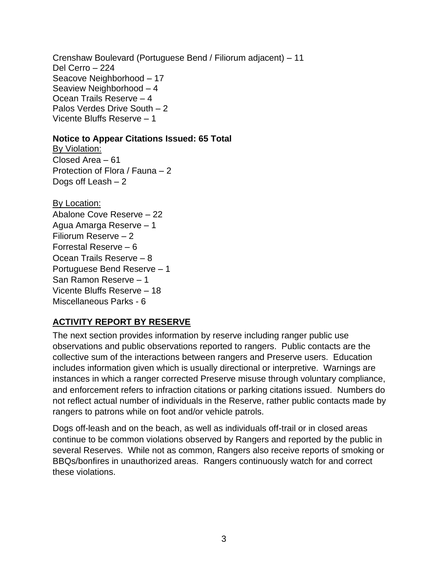Crenshaw Boulevard (Portuguese Bend / Filiorum adjacent) – 11 Del Cerro – 224 Seacove Neighborhood – 17 Seaview Neighborhood – 4 Ocean Trails Reserve – 4 Palos Verdes Drive South – 2 Vicente Bluffs Reserve – 1

### **Notice to Appear Citations Issued: 65 Total**

By Violation: Closed Area – 61 Protection of Flora / Fauna – 2 Dogs off Leash – 2

By Location: Abalone Cove Reserve – 22 Agua Amarga Reserve – 1 Filiorum Reserve – 2 Forrestal Reserve – 6 Ocean Trails Reserve – 8 Portuguese Bend Reserve – 1 San Ramon Reserve – 1 Vicente Bluffs Reserve – 18 Miscellaneous Parks - 6

# **ACTIVITY REPORT BY RESERVE**

The next section provides information by reserve including ranger public use observations and public observations reported to rangers. Public contacts are the collective sum of the interactions between rangers and Preserve users. Education includes information given which is usually directional or interpretive. Warnings are instances in which a ranger corrected Preserve misuse through voluntary compliance, and enforcement refers to infraction citations or parking citations issued. Numbers do not reflect actual number of individuals in the Reserve, rather public contacts made by rangers to patrons while on foot and/or vehicle patrols.

Dogs off-leash and on the beach, as well as individuals off-trail or in closed areas continue to be common violations observed by Rangers and reported by the public in several Reserves. While not as common, Rangers also receive reports of smoking or BBQs/bonfires in unauthorized areas. Rangers continuously watch for and correct these violations.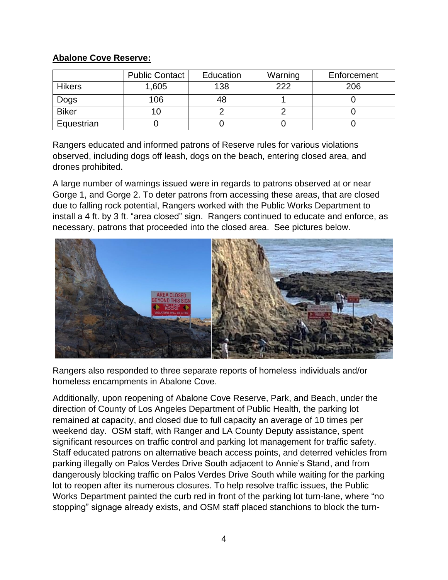## **Abalone Cove Reserve:**

|               | <b>Public Contact</b> | Education | Warning | Enforcement |
|---------------|-----------------------|-----------|---------|-------------|
| <b>Hikers</b> | 1,605                 | 138       | 222     | 206         |
| Dogs          | 106                   |           |         |             |
| <b>Biker</b>  |                       |           |         |             |
| Equestrian    |                       |           |         |             |

Rangers educated and informed patrons of Reserve rules for various violations observed, including dogs off leash, dogs on the beach, entering closed area, and drones prohibited.

A large number of warnings issued were in regards to patrons observed at or near Gorge 1, and Gorge 2. To deter patrons from accessing these areas, that are closed due to falling rock potential, Rangers worked with the Public Works Department to install a 4 ft. by 3 ft. "area closed" sign. Rangers continued to educate and enforce, as necessary, patrons that proceeded into the closed area. See pictures below.



Rangers also responded to three separate reports of homeless individuals and/or homeless encampments in Abalone Cove.

Additionally, upon reopening of Abalone Cove Reserve, Park, and Beach, under the direction of County of Los Angeles Department of Public Health, the parking lot remained at capacity, and closed due to full capacity an average of 10 times per weekend day. OSM staff, with Ranger and LA County Deputy assistance, spent significant resources on traffic control and parking lot management for traffic safety. Staff educated patrons on alternative beach access points, and deterred vehicles from parking illegally on Palos Verdes Drive South adjacent to Annie's Stand, and from dangerously blocking traffic on Palos Verdes Drive South while waiting for the parking lot to reopen after its numerous closures. To help resolve traffic issues, the Public Works Department painted the curb red in front of the parking lot turn-lane, where "no stopping" signage already exists, and OSM staff placed stanchions to block the turn-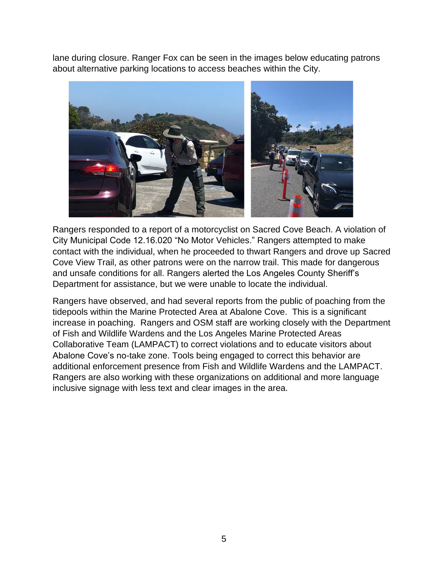lane during closure. Ranger Fox can be seen in the images below educating patrons about alternative parking locations to access beaches within the City.



Rangers responded to a report of a motorcyclist on Sacred Cove Beach. A violation of City Municipal Code 12.16.020 "No Motor Vehicles." Rangers attempted to make contact with the individual, when he proceeded to thwart Rangers and drove up Sacred Cove View Trail, as other patrons were on the narrow trail. This made for dangerous and unsafe conditions for all. Rangers alerted the Los Angeles County Sheriff's Department for assistance, but we were unable to locate the individual.

Rangers have observed, and had several reports from the public of poaching from the tidepools within the Marine Protected Area at Abalone Cove. This is a significant increase in poaching. Rangers and OSM staff are working closely with the Department of Fish and Wildlife Wardens and the Los Angeles Marine Protected Areas Collaborative Team (LAMPACT) to correct violations and to educate visitors about Abalone Cove's no-take zone. Tools being engaged to correct this behavior are additional enforcement presence from Fish and Wildlife Wardens and the LAMPACT. Rangers are also working with these organizations on additional and more language inclusive signage with less text and clear images in the area.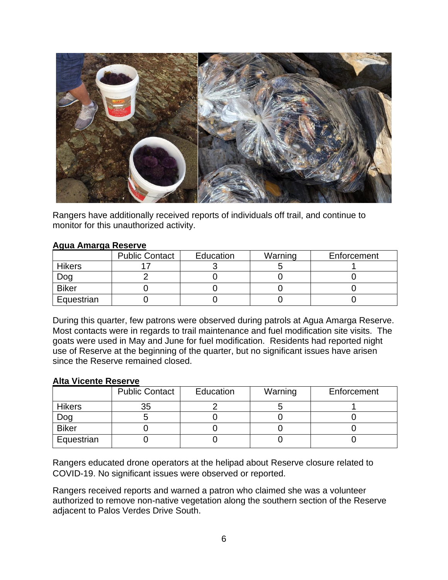

Rangers have additionally received reports of individuals off trail, and continue to monitor for this unauthorized activity.

### **Agua Amarga Reserve**

|               | <b>Public Contact</b> | Education | Warning | Enforcement |
|---------------|-----------------------|-----------|---------|-------------|
| <b>Hikers</b> |                       |           |         |             |
| Dog           |                       |           |         |             |
| <b>Biker</b>  |                       |           |         |             |
| Equestrian    |                       |           |         |             |

During this quarter, few patrons were observed during patrols at Agua Amarga Reserve. Most contacts were in regards to trail maintenance and fuel modification site visits. The goats were used in May and June for fuel modification. Residents had reported night use of Reserve at the beginning of the quarter, but no significant issues have arisen since the Reserve remained closed.

#### **Alta Vicente Reserve**

|               | <b>Public Contact</b> | Education | Warning | Enforcement |
|---------------|-----------------------|-----------|---------|-------------|
| <b>Hikers</b> | 35                    |           |         |             |
| Dog           |                       |           |         |             |
| <b>Biker</b>  |                       |           |         |             |
| Equestrian    |                       |           |         |             |

Rangers educated drone operators at the helipad about Reserve closure related to COVID-19. No significant issues were observed or reported.

Rangers received reports and warned a patron who claimed she was a volunteer authorized to remove non-native vegetation along the southern section of the Reserve adjacent to Palos Verdes Drive South.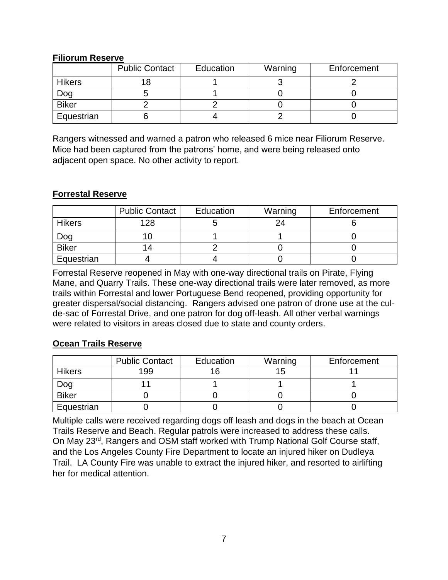### **Filiorum Reserve**

|               | <b>Public Contact</b> | Education | Warning | Enforcement |
|---------------|-----------------------|-----------|---------|-------------|
| <b>Hikers</b> |                       |           |         |             |
| Dog           |                       |           |         |             |
| <b>Biker</b>  |                       |           |         |             |
| Equestrian    |                       |           |         |             |

Rangers witnessed and warned a patron who released 6 mice near Filiorum Reserve. Mice had been captured from the patrons' home, and were being released onto adjacent open space. No other activity to report.

### **Forrestal Reserve**

|               | Public Contact | Education | Warning | Enforcement |
|---------------|----------------|-----------|---------|-------------|
| <b>Hikers</b> | 128            |           | 24      |             |
| Dog           |                |           |         |             |
| <b>Biker</b>  | 14             |           |         |             |
| Equestrian    |                |           |         |             |

Forrestal Reserve reopened in May with one-way directional trails on Pirate, Flying Mane, and Quarry Trails. These one-way directional trails were later removed, as more trails within Forrestal and lower Portuguese Bend reopened, providing opportunity for greater dispersal/social distancing. Rangers advised one patron of drone use at the culde-sac of Forrestal Drive, and one patron for dog off-leash. All other verbal warnings were related to visitors in areas closed due to state and county orders.

## **Ocean Trails Reserve**

|               | <b>Public Contact</b> | Education | Warning | Enforcement |
|---------------|-----------------------|-----------|---------|-------------|
| <b>Hikers</b> | 199                   |           | ່ຕ      |             |
| Dog           |                       |           |         |             |
| <b>Biker</b>  |                       |           |         |             |
| Equestrian    |                       |           |         |             |

Multiple calls were received regarding dogs off leash and dogs in the beach at Ocean Trails Reserve and Beach. Regular patrols were increased to address these calls. On May 23rd, Rangers and OSM staff worked with Trump National Golf Course staff, and the Los Angeles County Fire Department to locate an injured hiker on Dudleya Trail. LA County Fire was unable to extract the injured hiker, and resorted to airlifting her for medical attention.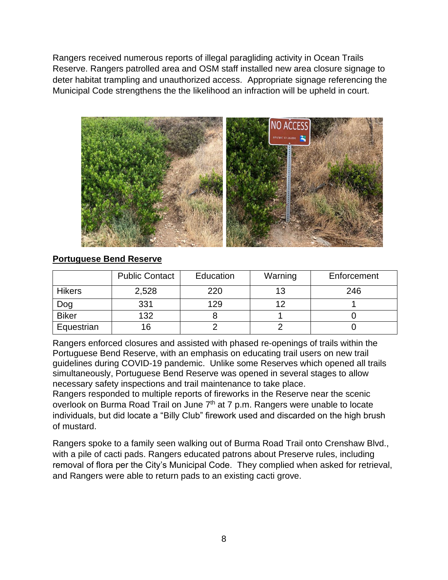Rangers received numerous reports of illegal paragliding activity in Ocean Trails Reserve. Rangers patrolled area and OSM staff installed new area closure signage to deter habitat trampling and unauthorized access. Appropriate signage referencing the Municipal Code strengthens the the likelihood an infraction will be upheld in court.



## **Portuguese Bend Reserve**

|               | <b>Public Contact</b> | Education | Warning | Enforcement |
|---------------|-----------------------|-----------|---------|-------------|
| <b>Hikers</b> | 2,528                 | 220       |         | 246         |
| Dog           | 331                   | 129       |         |             |
| <b>Biker</b>  | 132                   |           |         |             |
| Equestrian    | 16                    |           |         |             |

Rangers enforced closures and assisted with phased re-openings of trails within the Portuguese Bend Reserve, with an emphasis on educating trail users on new trail guidelines during COVID-19 pandemic. Unlike some Reserves which opened all trails simultaneously, Portuguese Bend Reserve was opened in several stages to allow necessary safety inspections and trail maintenance to take place.

Rangers responded to multiple reports of fireworks in the Reserve near the scenic overlook on Burma Road Trail on June 7<sup>th</sup> at 7 p.m. Rangers were unable to locate individuals, but did locate a "Billy Club" firework used and discarded on the high brush of mustard.

Rangers spoke to a family seen walking out of Burma Road Trail onto Crenshaw Blvd., with a pile of cacti pads. Rangers educated patrons about Preserve rules, including removal of flora per the City's Municipal Code. They complied when asked for retrieval, and Rangers were able to return pads to an existing cacti grove.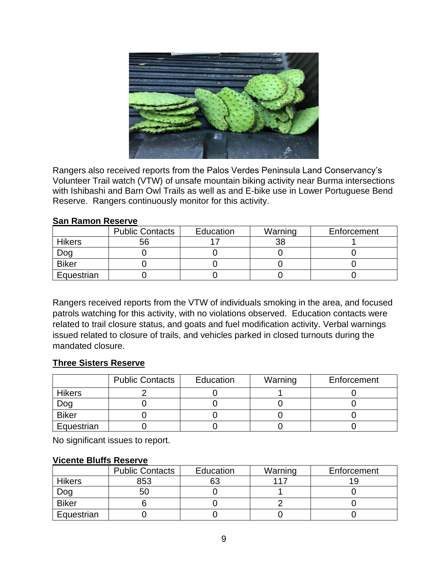

Rangers also received reports from the Palos Verdes Peninsula Land Conservancy's Volunteer Trail watch (VTW) of unsafe mountain biking activity near Burma intersections with Ishibashi and Barn Owl Trails as well as and E-bike use in Lower Portuguese Bend Reserve. Rangers continuously monitor for this activity.

#### **San Ramon Reserve**

|               | <b>Public Contacts</b> | Education | Warning | Enforcement |
|---------------|------------------------|-----------|---------|-------------|
| <b>Hikers</b> | 56                     |           |         |             |
| Dog           |                        |           |         |             |
| <b>Biker</b>  |                        |           |         |             |
| Equestrian    |                        |           |         |             |

Rangers received reports from the VTW of individuals smoking in the area, and focused patrols watching for this activity, with no violations observed. Education contacts were related to trail closure status, and goats and fuel modification activity. Verbal warnings issued related to closure of trails, and vehicles parked in closed turnouts during the mandated closure.

### **Three Sisters Reserve**

|              | <b>Public Contacts</b> | Education | Warning | Enforcement |
|--------------|------------------------|-----------|---------|-------------|
| Hikers       |                        |           |         |             |
| Dog          |                        |           |         |             |
| <b>Biker</b> |                        |           |         |             |
| Equestrian   |                        |           |         |             |

No significant issues to report.

#### **Vicente Bluffs Reserve**

|               | <b>Public Contacts</b> | Education | Warning | Enforcement |
|---------------|------------------------|-----------|---------|-------------|
| <b>Hikers</b> | 853                    |           | 117     |             |
| Dog           | 50                     |           |         |             |
| <b>Biker</b>  |                        |           |         |             |
| Equestrian    |                        |           |         |             |